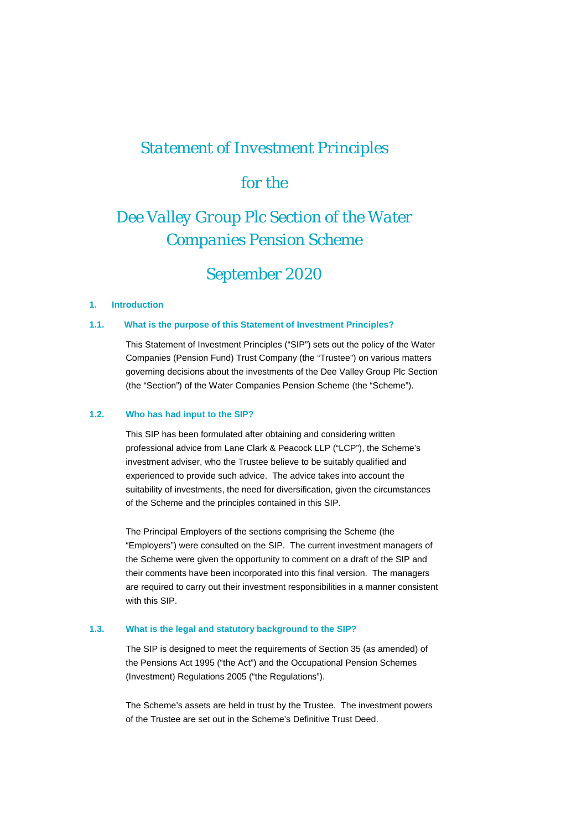# *Statement of Investment Principles*

# *for the*

# *Dee Valley Group Plc Section of the Water Companies Pension Scheme*

# *September 2020*

#### **1. Introduction**

#### **1.1. What is the purpose of this Statement of Investment Principles?**

This Statement of Investment Principles ("SIP") sets out the policy of the Water Companies (Pension Fund) Trust Company (the "Trustee") on various matters governing decisions about the investments of the Dee Valley Group Plc Section (the "Section") of the Water Companies Pension Scheme (the "Scheme").

## **1.2. Who has had input to the SIP?**

This SIP has been formulated after obtaining and considering written professional advice from Lane Clark & Peacock LLP ("LCP"), the Scheme's investment adviser, who the Trustee believe to be suitably qualified and experienced to provide such advice. The advice takes into account the suitability of investments, the need for diversification, given the circumstances of the Scheme and the principles contained in this SIP.

The Principal Employers of the sections comprising the Scheme (the "Employers") were consulted on the SIP. The current investment managers of the Scheme were given the opportunity to comment on a draft of the SIP and their comments have been incorporated into this final version. The managers are required to carry out their investment responsibilities in a manner consistent with this SIP.

#### **1.3. What is the legal and statutory background to the SIP?**

The SIP is designed to meet the requirements of Section 35 (as amended) of the Pensions Act 1995 ("the Act") and the Occupational Pension Schemes (Investment) Regulations 2005 ("the Regulations").

The Scheme's assets are held in trust by the Trustee. The investment powers of the Trustee are set out in the Scheme's Definitive Trust Deed.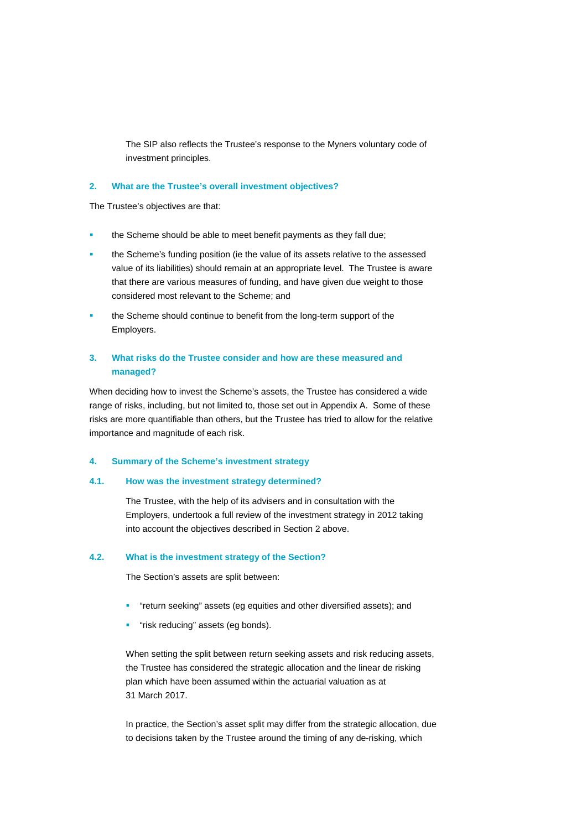The SIP also reflects the Trustee's response to the Myners voluntary code of investment principles.

#### **2. What are the Trustee's overall investment objectives?**

The Trustee's objectives are that:

- the Scheme should be able to meet benefit payments as they fall due;
- the Scheme's funding position (ie the value of its assets relative to the assessed value of its liabilities) should remain at an appropriate level. The Trustee is aware that there are various measures of funding, and have given due weight to those considered most relevant to the Scheme; and
- the Scheme should continue to benefit from the long-term support of the Employers.

# **3. What risks do the Trustee consider and how are these measured and managed?**

When deciding how to invest the Scheme's assets, the Trustee has considered a wide range of risks, including, but not limited to, those set out in Appendix A. Some of these risks are more quantifiable than others, but the Trustee has tried to allow for the relative importance and magnitude of each risk.

#### **4. Summary of the Scheme's investment strategy**

## **4.1. How was the investment strategy determined?**

The Trustee, with the help of its advisers and in consultation with the Employers, undertook a full review of the investment strategy in 2012 taking into account the objectives described in Section 2 above.

#### **4.2. What is the investment strategy of the Section?**

The Section's assets are split between:

- "return seeking" assets (eg equities and other diversified assets); and
- "risk reducing" assets (eg bonds).

When setting the split between return seeking assets and risk reducing assets, the Trustee has considered the strategic allocation and the linear de risking plan which have been assumed within the actuarial valuation as at 31 March 2017.

In practice, the Section's asset split may differ from the strategic allocation, due to decisions taken by the Trustee around the timing of any de-risking, which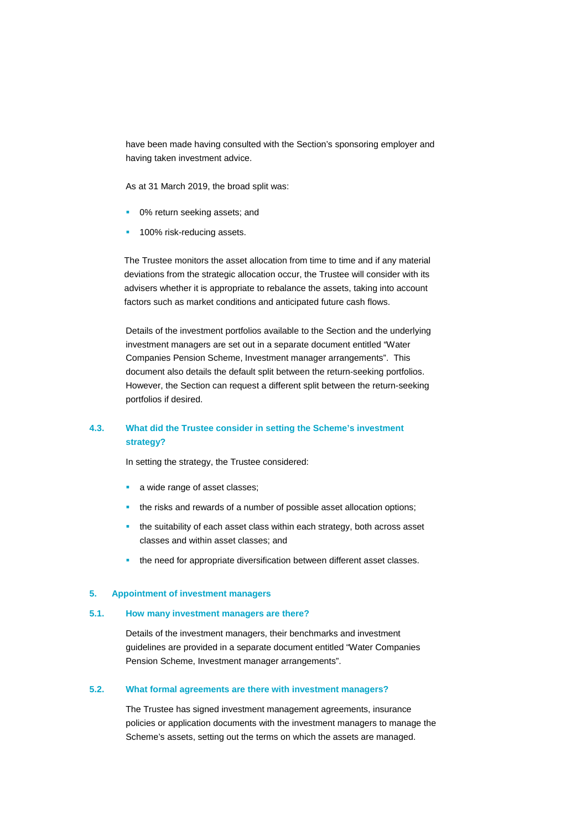have been made having consulted with the Section's sponsoring employer and having taken investment advice.

As at 31 March 2019, the broad split was:

- 0% return seeking assets; and
- 100% risk-reducing assets.

The Trustee monitors the asset allocation from time to time and if any material deviations from the strategic allocation occur, the Trustee will consider with its advisers whether it is appropriate to rebalance the assets, taking into account factors such as market conditions and anticipated future cash flows.

Details of the investment portfolios available to the Section and the underlying investment managers are set out in a separate document entitled "Water Companies Pension Scheme, Investment manager arrangements". This document also details the default split between the return-seeking portfolios. However, the Section can request a different split between the return-seeking portfolios if desired.

# **4.3. What did the Trustee consider in setting the Scheme's investment strategy?**

In setting the strategy, the Trustee considered:

- a wide range of asset classes;
- the risks and rewards of a number of possible asset allocation options;
- the suitability of each asset class within each strategy, both across asset classes and within asset classes; and
- the need for appropriate diversification between different asset classes.

#### **5. Appointment of investment managers**

#### **5.1. How many investment managers are there?**

Details of the investment managers, their benchmarks and investment guidelines are provided in a separate document entitled "Water Companies Pension Scheme, Investment manager arrangements".

#### **5.2. What formal agreements are there with investment managers?**

The Trustee has signed investment management agreements, insurance policies or application documents with the investment managers to manage the Scheme's assets, setting out the terms on which the assets are managed.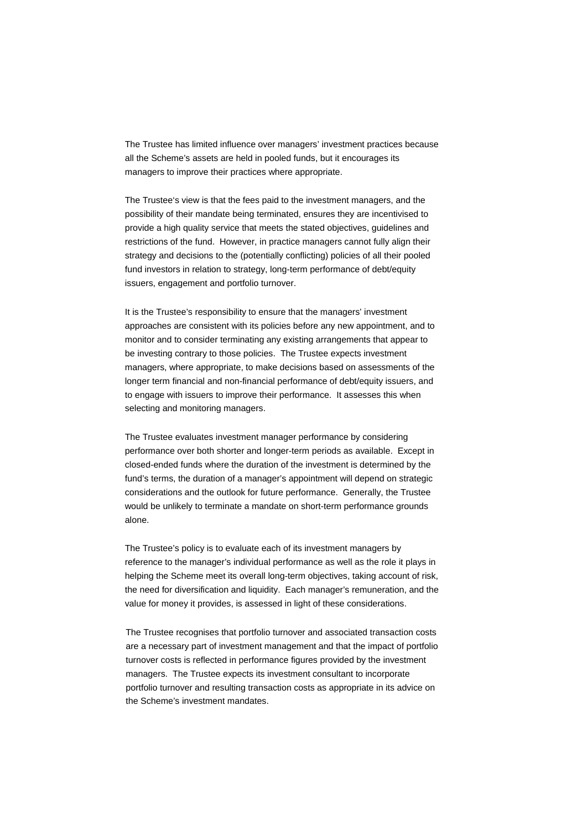The Trustee has limited influence over managers' investment practices because all the Scheme's assets are held in pooled funds, but it encourages its managers to improve their practices where appropriate.

The Trustee's view is that the fees paid to the investment managers, and the possibility of their mandate being terminated, ensures they are incentivised to provide a high quality service that meets the stated objectives, guidelines and restrictions of the fund. However, in practice managers cannot fully align their strategy and decisions to the (potentially conflicting) policies of all their pooled fund investors in relation to strategy, long-term performance of debt/equity issuers, engagement and portfolio turnover.

It is the Trustee's responsibility to ensure that the managers' investment approaches are consistent with its policies before any new appointment, and to monitor and to consider terminating any existing arrangements that appear to be investing contrary to those policies. The Trustee expects investment managers, where appropriate, to make decisions based on assessments of the longer term financial and non-financial performance of debt/equity issuers, and to engage with issuers to improve their performance. It assesses this when selecting and monitoring managers.

The Trustee evaluates investment manager performance by considering performance over both shorter and longer-term periods as available. Except in closed-ended funds where the duration of the investment is determined by the fund's terms, the duration of a manager's appointment will depend on strategic considerations and the outlook for future performance. Generally, the Trustee would be unlikely to terminate a mandate on short-term performance grounds alone.

The Trustee's policy is to evaluate each of its investment managers by reference to the manager's individual performance as well as the role it plays in helping the Scheme meet its overall long-term objectives, taking account of risk, the need for diversification and liquidity. Each manager's remuneration, and the value for money it provides, is assessed in light of these considerations.

The Trustee recognises that portfolio turnover and associated transaction costs are a necessary part of investment management and that the impact of portfolio turnover costs is reflected in performance figures provided by the investment managers. The Trustee expects its investment consultant to incorporate portfolio turnover and resulting transaction costs as appropriate in its advice on the Scheme's investment mandates.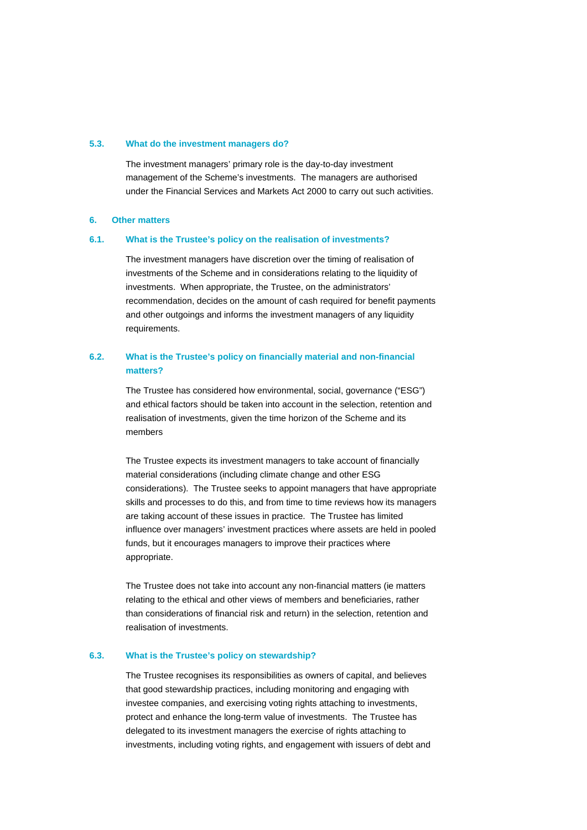#### **5.3. What do the investment managers do?**

The investment managers' primary role is the day-to-day investment management of the Scheme's investments. The managers are authorised under the Financial Services and Markets Act 2000 to carry out such activities.

#### **6. Other matters**

#### **6.1. What is the Trustee's policy on the realisation of investments?**

The investment managers have discretion over the timing of realisation of investments of the Scheme and in considerations relating to the liquidity of investments. When appropriate, the Trustee, on the administrators' recommendation, decides on the amount of cash required for benefit payments and other outgoings and informs the investment managers of any liquidity requirements.

# **6.2. What is the Trustee's policy on financially material and non-financial matters?**

The Trustee has considered how environmental, social, governance ("ESG") and ethical factors should be taken into account in the selection, retention and realisation of investments, given the time horizon of the Scheme and its members

The Trustee expects its investment managers to take account of financially material considerations (including climate change and other ESG considerations). The Trustee seeks to appoint managers that have appropriate skills and processes to do this, and from time to time reviews how its managers are taking account of these issues in practice. The Trustee has limited influence over managers' investment practices where assets are held in pooled funds, but it encourages managers to improve their practices where appropriate.

The Trustee does not take into account any non-financial matters (ie matters relating to the ethical and other views of members and beneficiaries, rather than considerations of financial risk and return) in the selection, retention and realisation of investments.

#### **6.3. What is the Trustee's policy on stewardship?**

The Trustee recognises its responsibilities as owners of capital, and believes that good stewardship practices, including monitoring and engaging with investee companies, and exercising voting rights attaching to investments, protect and enhance the long-term value of investments. The Trustee has delegated to its investment managers the exercise of rights attaching to investments, including voting rights, and engagement with issuers of debt and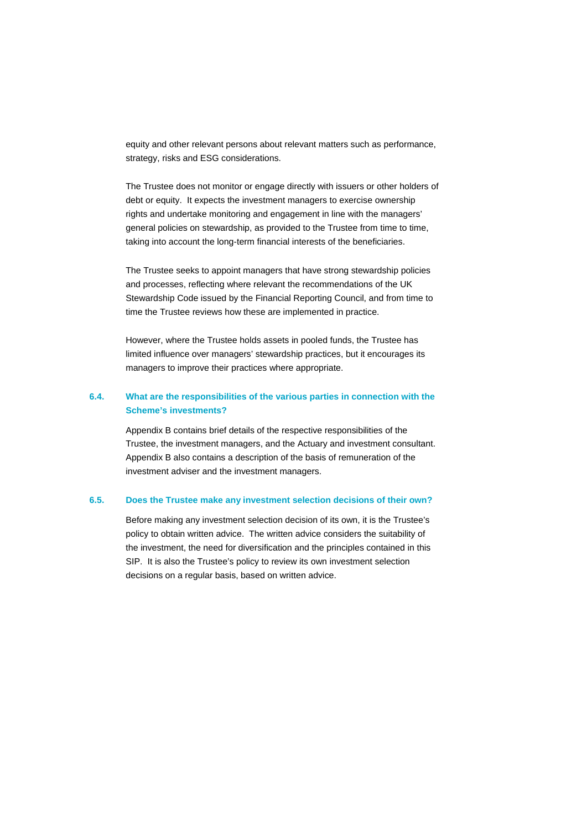equity and other relevant persons about relevant matters such as performance, strategy, risks and ESG considerations.

The Trustee does not monitor or engage directly with issuers or other holders of debt or equity. It expects the investment managers to exercise ownership rights and undertake monitoring and engagement in line with the managers' general policies on stewardship, as provided to the Trustee from time to time, taking into account the long-term financial interests of the beneficiaries.

The Trustee seeks to appoint managers that have strong stewardship policies and processes, reflecting where relevant the recommendations of the UK Stewardship Code issued by the Financial Reporting Council, and from time to time the Trustee reviews how these are implemented in practice.

However, where the Trustee holds assets in pooled funds, the Trustee has limited influence over managers' stewardship practices, but it encourages its managers to improve their practices where appropriate.

# **6.4. What are the responsibilities of the various parties in connection with the Scheme's investments?**

Appendix B contains brief details of the respective responsibilities of the Trustee, the investment managers, and the Actuary and investment consultant. Appendix B also contains a description of the basis of remuneration of the investment adviser and the investment managers.

# **6.5. Does the Trustee make any investment selection decisions of their own?**

Before making any investment selection decision of its own, it is the Trustee's policy to obtain written advice. The written advice considers the suitability of the investment, the need for diversification and the principles contained in this SIP. It is also the Trustee's policy to review its own investment selection decisions on a regular basis, based on written advice.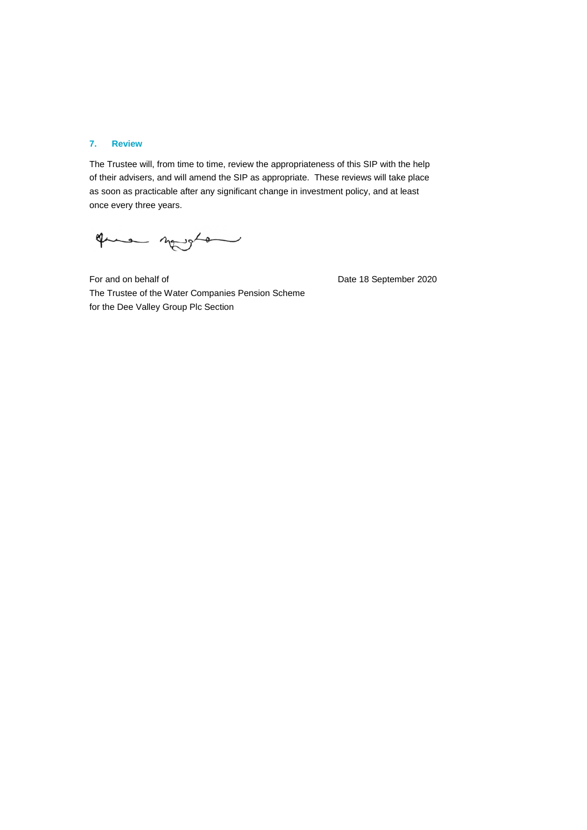#### **7. Review**

The Trustee will, from time to time, review the appropriateness of this SIP with the help of their advisers, and will amend the SIP as appropriate. These reviews will take place as soon as practicable after any significant change in investment policy, and at least once every three years.

que novo

For and on behalf of Date 18 September 2020 The Trustee of the Water Companies Pension Scheme for the Dee Valley Group Plc Section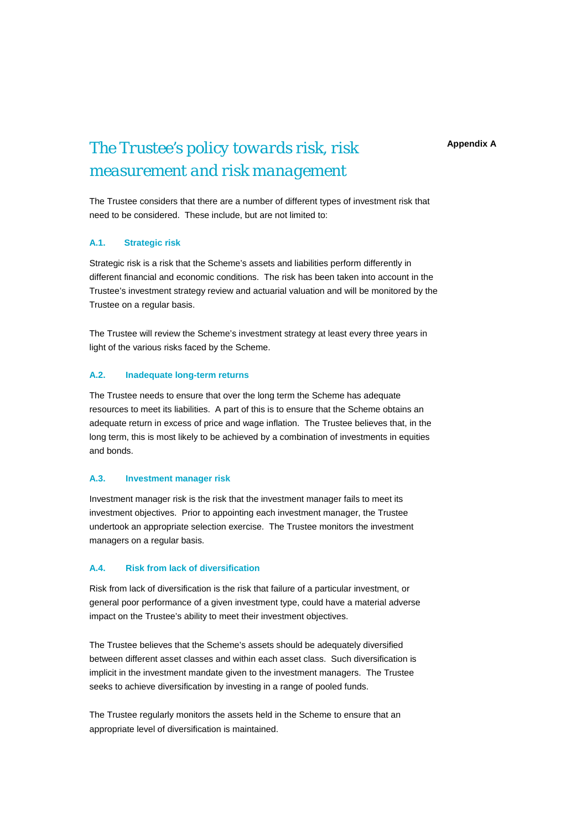**Appendix A**

# *The Trustee's policy towards risk, risk measurement and risk management*

The Trustee considers that there are a number of different types of investment risk that need to be considered. These include, but are not limited to:

# **A.1. Strategic risk**

Strategic risk is a risk that the Scheme's assets and liabilities perform differently in different financial and economic conditions. The risk has been taken into account in the Trustee's investment strategy review and actuarial valuation and will be monitored by the Trustee on a regular basis.

The Trustee will review the Scheme's investment strategy at least every three years in light of the various risks faced by the Scheme.

## **A.2. Inadequate long-term returns**

The Trustee needs to ensure that over the long term the Scheme has adequate resources to meet its liabilities. A part of this is to ensure that the Scheme obtains an adequate return in excess of price and wage inflation. The Trustee believes that, in the long term, this is most likely to be achieved by a combination of investments in equities and bonds.

# **A.3. Investment manager risk**

Investment manager risk is the risk that the investment manager fails to meet its investment objectives. Prior to appointing each investment manager, the Trustee undertook an appropriate selection exercise. The Trustee monitors the investment managers on a regular basis.

## **A.4. Risk from lack of diversification**

Risk from lack of diversification is the risk that failure of a particular investment, or general poor performance of a given investment type, could have a material adverse impact on the Trustee's ability to meet their investment objectives.

The Trustee believes that the Scheme's assets should be adequately diversified between different asset classes and within each asset class. Such diversification is implicit in the investment mandate given to the investment managers. The Trustee seeks to achieve diversification by investing in a range of pooled funds.

The Trustee regularly monitors the assets held in the Scheme to ensure that an appropriate level of diversification is maintained.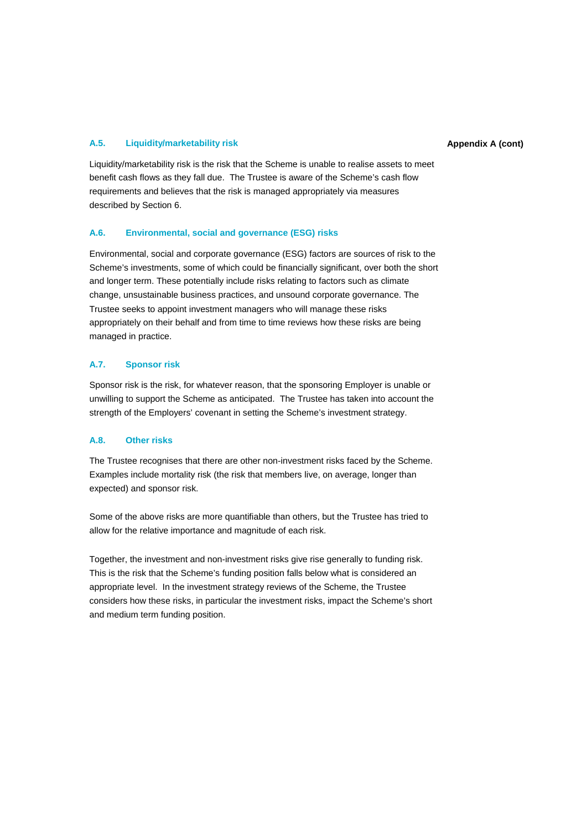# **A.5. Liquidity/marketability risk Appendix A (cont)**

Liquidity/marketability risk is the risk that the Scheme is unable to realise assets to meet benefit cash flows as they fall due. The Trustee is aware of the Scheme's cash flow requirements and believes that the risk is managed appropriately via measures described by Section 6.

# **A.6. Environmental, social and governance (ESG) risks**

Environmental, social and corporate governance (ESG) factors are sources of risk to the Scheme's investments, some of which could be financially significant, over both the short and longer term. These potentially include risks relating to factors such as climate change, unsustainable business practices, and unsound corporate governance. The Trustee seeks to appoint investment managers who will manage these risks appropriately on their behalf and from time to time reviews how these risks are being managed in practice.

## **A.7. Sponsor risk**

Sponsor risk is the risk, for whatever reason, that the sponsoring Employer is unable or unwilling to support the Scheme as anticipated. The Trustee has taken into account the strength of the Employers' covenant in setting the Scheme's investment strategy.

# **A.8. Other risks**

The Trustee recognises that there are other non-investment risks faced by the Scheme. Examples include mortality risk (the risk that members live, on average, longer than expected) and sponsor risk.

Some of the above risks are more quantifiable than others, but the Trustee has tried to allow for the relative importance and magnitude of each risk.

Together, the investment and non-investment risks give rise generally to funding risk. This is the risk that the Scheme's funding position falls below what is considered an appropriate level. In the investment strategy reviews of the Scheme, the Trustee considers how these risks, in particular the investment risks, impact the Scheme's short and medium term funding position.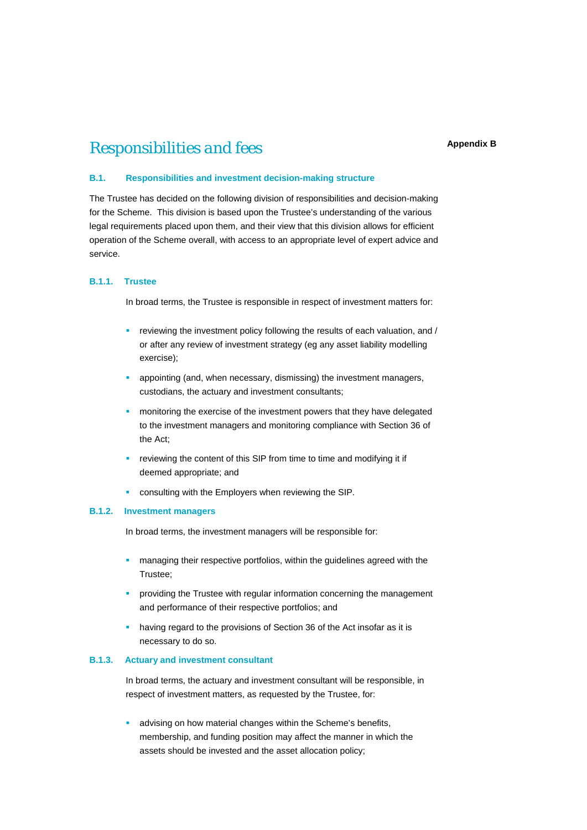# *Responsibilities and fees*

# **B.1. Responsibilities and investment decision-making structure**

The Trustee has decided on the following division of responsibilities and decision-making for the Scheme. This division is based upon the Trustee's understanding of the various legal requirements placed upon them, and their view that this division allows for efficient operation of the Scheme overall, with access to an appropriate level of expert advice and service.

# **B.1.1. Trustee**

In broad terms, the Trustee is responsible in respect of investment matters for:

- reviewing the investment policy following the results of each valuation, and / or after any review of investment strategy (eg any asset liability modelling exercise);
- appointing (and, when necessary, dismissing) the investment managers, custodians, the actuary and investment consultants;
- monitoring the exercise of the investment powers that they have delegated to the investment managers and monitoring compliance with Section 36 of the Act;
- **•** reviewing the content of this SIP from time to time and modifying it if deemed appropriate; and
- consulting with the Employers when reviewing the SIP.

#### **B.1.2. Investment managers**

In broad terms, the investment managers will be responsible for:

- managing their respective portfolios, within the guidelines agreed with the Trustee;
- providing the Trustee with regular information concerning the management and performance of their respective portfolios; and
- having regard to the provisions of Section 36 of the Act insofar as it is necessary to do so.

#### **B.1.3. Actuary and investment consultant**

In broad terms, the actuary and investment consultant will be responsible, in respect of investment matters, as requested by the Trustee, for:

**advising on how material changes within the Scheme's benefits,** membership, and funding position may affect the manner in which the assets should be invested and the asset allocation policy;